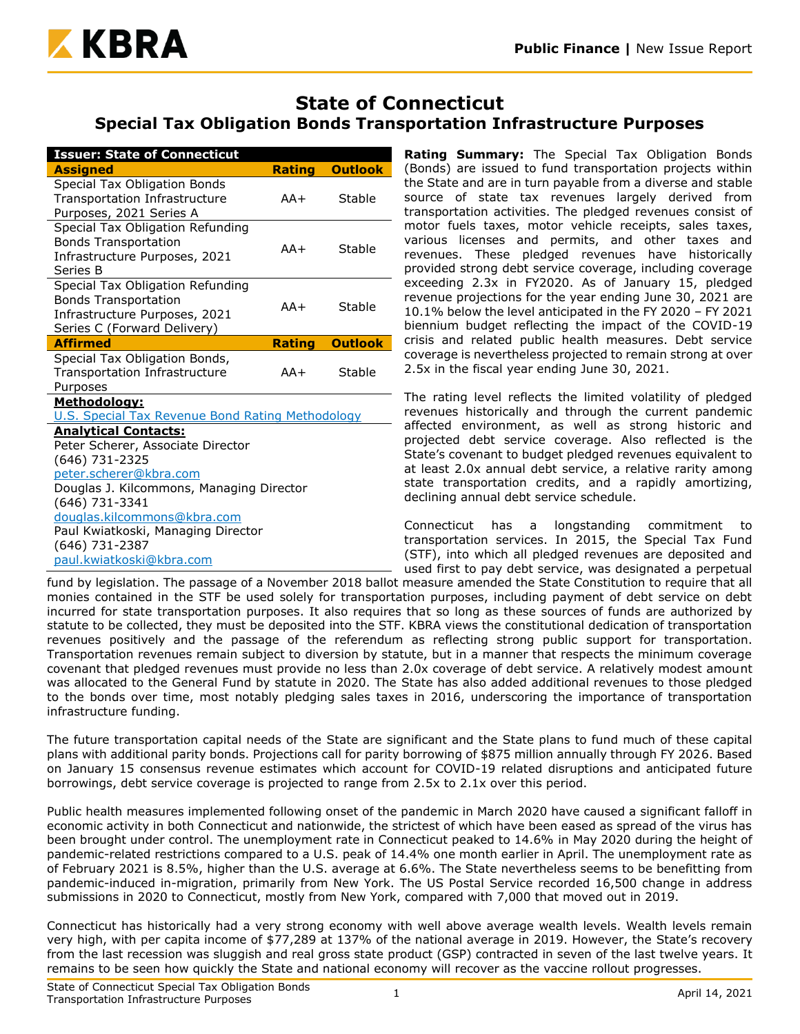

# **State of Connecticut Special Tax Obligation Bonds Transportation Infrastructure Purposes**

| <b>Issuer: State of Connecticut</b>                            |               |                |  |  |  |  |
|----------------------------------------------------------------|---------------|----------------|--|--|--|--|
| <b>Assigned</b>                                                | <b>Rating</b> | <b>Outlook</b> |  |  |  |  |
| Special Tax Obligation Bonds<br>Transportation Infrastructure  | $AA+$         | Stable         |  |  |  |  |
| Purposes, 2021 Series A                                        |               |                |  |  |  |  |
| Special Tax Obligation Refunding                               |               |                |  |  |  |  |
| <b>Bonds Transportation</b>                                    | $AA+$         | Stable         |  |  |  |  |
| Infrastructure Purposes, 2021<br>Series B                      |               |                |  |  |  |  |
| Special Tax Obligation Refunding                               |               |                |  |  |  |  |
| <b>Bonds Transportation</b>                                    | $AA+$         | Stable         |  |  |  |  |
| Infrastructure Purposes, 2021                                  |               |                |  |  |  |  |
| Series C (Forward Delivery)<br><b>Affirmed</b>                 | <b>Rating</b> | <b>Outlook</b> |  |  |  |  |
|                                                                |               |                |  |  |  |  |
| Special Tax Obligation Bonds,<br>Transportation Infrastructure | AA+           | Stable         |  |  |  |  |
| Purposes                                                       |               |                |  |  |  |  |
| <u>Methodology:</u>                                            |               |                |  |  |  |  |
| <b>U.S. Special Tax Revenue Bond Rating Methodology</b>        |               |                |  |  |  |  |
| <b>Analytical Contacts:</b>                                    |               |                |  |  |  |  |
| Peter Scherer, Associate Director                              |               |                |  |  |  |  |
| (646) 731-2325                                                 |               |                |  |  |  |  |
| peter.scherer@kbra.com                                         |               |                |  |  |  |  |
| Douglas J. Kilcommons, Managing Director                       |               |                |  |  |  |  |
| (646) 731-3341                                                 |               |                |  |  |  |  |
| douglas.kilcommons@kbra.com                                    |               |                |  |  |  |  |
|                                                                |               |                |  |  |  |  |
| paul.kwiatkoski@kbra.com                                       |               |                |  |  |  |  |
| Paul Kwiatkoski, Managing Director<br>(646) 731-2387           |               |                |  |  |  |  |

**Rating Summary:** The Special Tax Obligation Bonds (Bonds) are issued to fund transportation projects within the State and are in turn payable from a diverse and stable source of state tax revenues largely derived from transportation activities. The pledged revenues consist of motor fuels taxes, motor vehicle receipts, sales taxes, various licenses and permits, and other taxes and revenues. These pledged revenues have historically provided strong debt service coverage, including coverage exceeding 2.3x in FY2020. As of January 15, pledged revenue projections for the year ending June 30, 2021 are 10.1% below the level anticipated in the FY 2020 – FY 2021 biennium budget reflecting the impact of the COVID-19 crisis and related public health measures. Debt service coverage is nevertheless projected to remain strong at over 2.5x in the fiscal year ending June 30, 2021.

The rating level reflects the limited volatility of pledged revenues historically and through the current pandemic affected environment, as well as strong historic and projected debt service coverage. Also reflected is the State's covenant to budget pledged revenues equivalent to at least 2.0x annual debt service, a relative rarity among state transportation credits, and a rapidly amortizing, declining annual debt service schedule.

Connecticut has a longstanding commitment to transportation services. In 2015, the Special Tax Fund (STF), into which all pledged revenues are deposited and used first to pay debt service, was designated a perpetual

fund by legislation. The passage of a November 2018 ballot measure amended the State Constitution to require that all monies contained in the STF be used solely for transportation purposes, including payment of debt service on debt incurred for state transportation purposes. It also requires that so long as these sources of funds are authorized by statute to be collected, they must be deposited into the STF. KBRA views the constitutional dedication of transportation revenues positively and the passage of the referendum as reflecting strong public support for transportation. Transportation revenues remain subject to diversion by statute, but in a manner that respects the minimum coverage covenant that pledged revenues must provide no less than 2.0x coverage of debt service. A relatively modest amount was allocated to the General Fund by statute in 2020. The State has also added additional revenues to those pledged to the bonds over time, most notably pledging sales taxes in 2016, underscoring the importance of transportation infrastructure funding.

The future transportation capital needs of the State are significant and the State plans to fund much of these capital plans with additional parity bonds. Projections call for parity borrowing of \$875 million annually through FY 2026. Based on January 15 consensus revenue estimates which account for COVID-19 related disruptions and anticipated future borrowings, debt service coverage is projected to range from 2.5x to 2.1x over this period.

Public health measures implemented following onset of the pandemic in March 2020 have caused a significant falloff in economic activity in both Connecticut and nationwide, the strictest of which have been eased as spread of the virus has been brought under control. The unemployment rate in Connecticut peaked to 14.6% in May 2020 during the height of pandemic-related restrictions compared to a U.S. peak of 14.4% one month earlier in April. The unemployment rate as of February 2021 is 8.5%, higher than the U.S. average at 6.6%. The State nevertheless seems to be benefitting from pandemic-induced in-migration, primarily from New York. The US Postal Service recorded 16,500 change in address submissions in 2020 to Connecticut, mostly from New York, compared with 7,000 that moved out in 2019.

Connecticut has historically had a very strong economy with well above average wealth levels. Wealth levels remain very high, with per capita income of \$77,289 at 137% of the national average in 2019. However, the State's recovery from the last recession was sluggish and real gross state product (GSP) contracted in seven of the last twelve years. It remains to be seen how quickly the State and national economy will recover as the vaccine rollout progresses.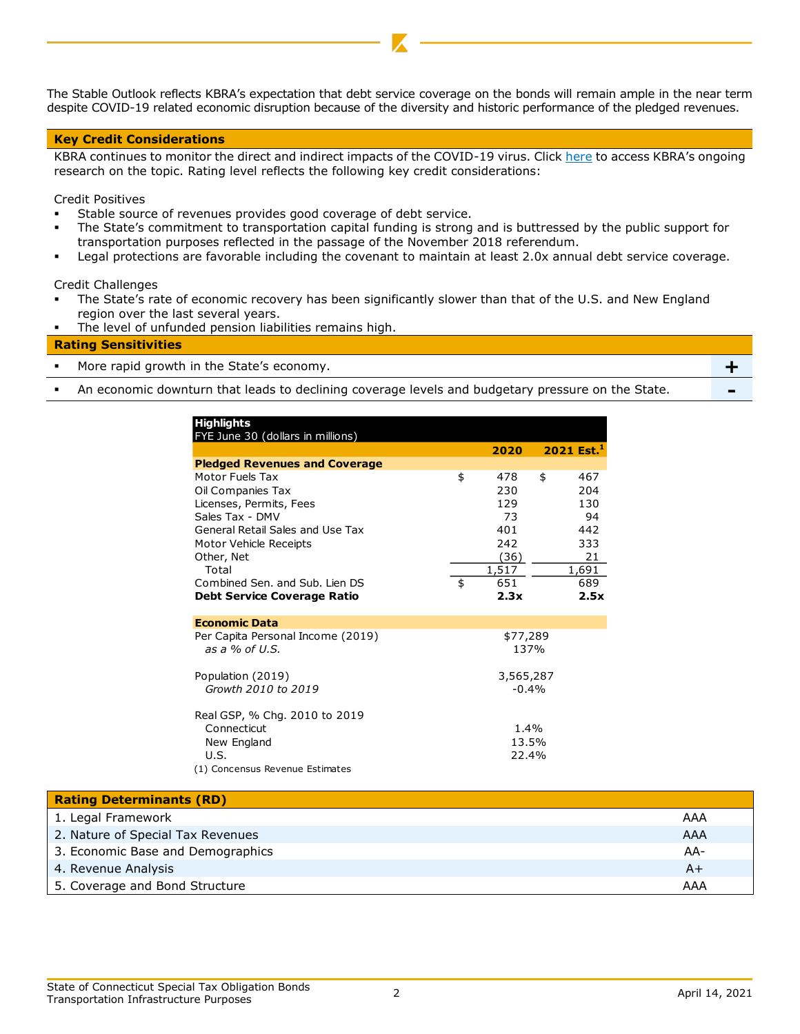The Stable Outlook reflects KBRA's expectation that debt service coverage on the bonds will remain ample in the near term despite COVID-19 related economic disruption because of the diversity and historic performance of the pledged revenues.

#### **Key Credit Considerations**

KBRA continues to monitor the direct and indirect impacts of the COVID-19 virus. Click [here](https://www.krollbondratings.com/search/publications?page=1&publicationType=Research%20Report&q=covid-19§ors=Public%20Finance) to access KBRA's ongoing research on the topic. Rating level reflects the following key credit considerations:

Credit Positives

- Stable source of revenues provides good coverage of debt service.
- The State's commitment to transportation capital funding is strong and is buttressed by the public support for transportation purposes reflected in the passage of the November 2018 referendum.
- Legal protections are favorable including the covenant to maintain at least 2.0x annual debt service coverage.

Credit Challenges

- The State's rate of economic recovery has been significantly slower than that of the U.S. and New England region over the last several years.
- The level of unfunded pension liabilities remains high.

# **Rating Sensitivities** ▪ More rapid growth in the State's economy. **+**

**•** An economic downturn that leads to declining coverage levels and budgetary pressure on the State.

| <b>Highlights</b><br>FYE June 30 (dollars in millions) |           |                          |
|--------------------------------------------------------|-----------|--------------------------|
|                                                        | 2020      | $2021$ Est. <sup>1</sup> |
| <b>Pledged Revenues and Coverage</b>                   |           |                          |
| Motor Fuels Tax                                        | \$<br>478 | \$<br>467                |
| Oil Companies Tax                                      | 230       | 204                      |
| Licenses, Permits, Fees                                | 129       | 130                      |
| Sales Tax - DMV                                        | 73        | 94                       |
| General Retail Sales and Use Tax                       | 401       | 442                      |
| Motor Vehicle Receipts                                 | 242       | 333                      |
| Other, Net                                             | (36)      | 21                       |
| Total                                                  | 1,517     | 1,691                    |
| Combined Sen. and Sub. Lien DS                         | \$<br>651 | 689                      |
| <b>Debt Service Coverage Ratio</b>                     | 2.3x      | 2.5x                     |
| <b>Economic Data</b>                                   |           |                          |
| Per Capita Personal Income (2019)                      | \$77,289  |                          |
| as a $%$ of U.S.                                       | 137%      |                          |
| Population (2019)                                      | 3,565,287 |                          |
| Growth 2010 to 2019                                    | $-0.4%$   |                          |
| Real GSP, % Chg. 2010 to 2019                          |           |                          |
| Connecticut                                            | 1.4%      |                          |
| New England                                            | 13.5%     |                          |
| U.S.                                                   | 22.4%     |                          |
| (1) Concensus Revenue Estimates                        |           |                          |
|                                                        |           |                          |

| <b>Rating Determinants (RD)</b>   |       |
|-----------------------------------|-------|
| 1. Legal Framework                | AAA   |
| 2. Nature of Special Tax Revenues | AAA   |
| 3. Economic Base and Demographics | $AA-$ |
| 4. Revenue Analysis               | $A+$  |
| 5. Coverage and Bond Structure    | AAA   |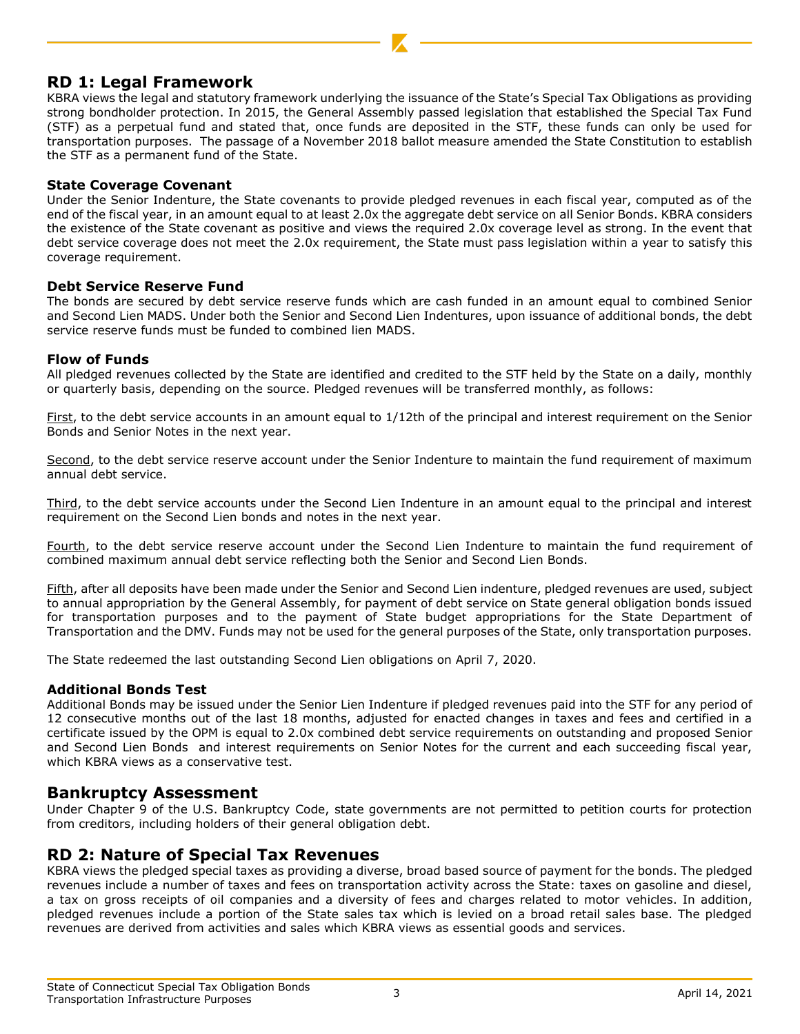# **RD 1: Legal Framework**

KBRA views the legal and statutory framework underlying the issuance of the State's Special Tax Obligations as providing strong bondholder protection. In 2015, the General Assembly passed legislation that established the Special Tax Fund (STF) as a perpetual fund and stated that, once funds are deposited in the STF, these funds can only be used for transportation purposes. The passage of a November 2018 ballot measure amended the State Constitution to establish the STF as a permanent fund of the State.

#### **State Coverage Covenant**

Under the Senior Indenture, the State covenants to provide pledged revenues in each fiscal year, computed as of the end of the fiscal year, in an amount equal to at least 2.0x the aggregate debt service on all Senior Bonds. KBRA considers the existence of the State covenant as positive and views the required 2.0x coverage level as strong. In the event that debt service coverage does not meet the 2.0x requirement, the State must pass legislation within a year to satisfy this coverage requirement.

#### **Debt Service Reserve Fund**

The bonds are secured by debt service reserve funds which are cash funded in an amount equal to combined Senior and Second Lien MADS. Under both the Senior and Second Lien Indentures, upon issuance of additional bonds, the debt service reserve funds must be funded to combined lien MADS.

#### **Flow of Funds**

All pledged revenues collected by the State are identified and credited to the STF held by the State on a daily, monthly or quarterly basis, depending on the source. Pledged revenues will be transferred monthly, as follows:

First, to the debt service accounts in an amount equal to 1/12th of the principal and interest requirement on the Senior Bonds and Senior Notes in the next year.

Second, to the debt service reserve account under the Senior Indenture to maintain the fund requirement of maximum annual debt service.

Third, to the debt service accounts under the Second Lien Indenture in an amount equal to the principal and interest requirement on the Second Lien bonds and notes in the next year.

Fourth, to the debt service reserve account under the Second Lien Indenture to maintain the fund requirement of combined maximum annual debt service reflecting both the Senior and Second Lien Bonds.

Fifth, after all deposits have been made under the Senior and Second Lien indenture, pledged revenues are used, subject to annual appropriation by the General Assembly, for payment of debt service on State general obligation bonds issued for transportation purposes and to the payment of State budget appropriations for the State Department of Transportation and the DMV. Funds may not be used for the general purposes of the State, only transportation purposes.

The State redeemed the last outstanding Second Lien obligations on April 7, 2020.

#### **Additional Bonds Test**

Additional Bonds may be issued under the Senior Lien Indenture if pledged revenues paid into the STF for any period of 12 consecutive months out of the last 18 months, adjusted for enacted changes in taxes and fees and certified in a certificate issued by the OPM is equal to 2.0x combined debt service requirements on outstanding and proposed Senior and Second Lien Bonds and interest requirements on Senior Notes for the current and each succeeding fiscal year, which KBRA views as a conservative test.

# **Bankruptcy Assessment**

Under Chapter 9 of the U.S. Bankruptcy Code, state governments are not permitted to petition courts for protection from creditors, including holders of their general obligation debt.

# **RD 2: Nature of Special Tax Revenues**

KBRA views the pledged special taxes as providing a diverse, broad based source of payment for the bonds. The pledged revenues include a number of taxes and fees on transportation activity across the State: taxes on gasoline and diesel, a tax on gross receipts of oil companies and a diversity of fees and charges related to motor vehicles. In addition, pledged revenues include a portion of the State sales tax which is levied on a broad retail sales base. The pledged revenues are derived from activities and sales which KBRA views as essential goods and services.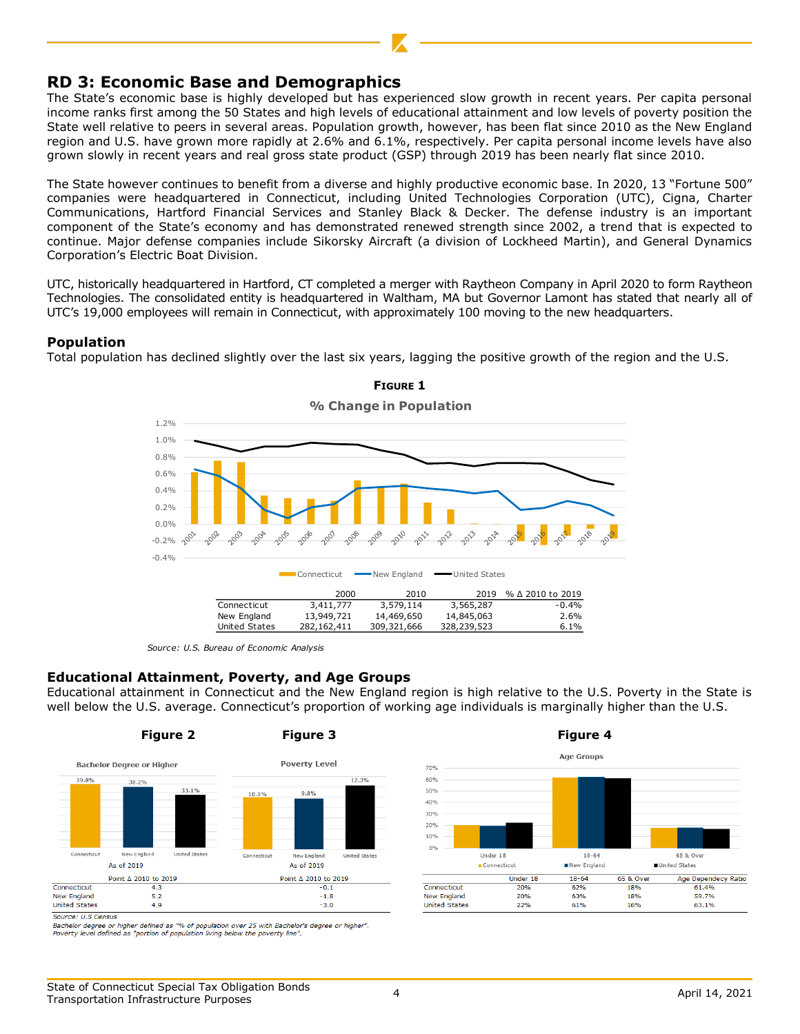# **RD 3: Economic Base and Demographics**

The State's economic base is highly developed but has experienced slow growth in recent years. Per capita personal income ranks first among the 50 States and high levels of educational attainment and low levels of poverty position the State well relative to peers in several areas. Population growth, however, has been flat since 2010 as the New England region and U.S. have grown more rapidly at 2.6% and 6.1%, respectively. Per capita personal income levels have also grown slowly in recent years and real gross state product (GSP) through 2019 has been nearly flat since 2010.

The State however continues to benefit from a diverse and highly productive economic base. In 2020, 13 "Fortune 500" companies were headquartered in Connecticut, including United Technologies Corporation (UTC), Cigna, Charter Communications, Hartford Financial Services and Stanley Black & Decker. The defense industry is an important component of the State's economy and has demonstrated renewed strength since 2002, a trend that is expected to continue. Major defense companies include Sikorsky Aircraft (a division of Lockheed Martin), and General Dynamics Corporation's Electric Boat Division.

UTC, historically headquartered in Hartford, CT completed a merger with Raytheon Company in April 2020 to form Raytheon Technologies. The consolidated entity is headquartered in Waltham, MA but Governor Lamont has stated that nearly all of UTC's 19,000 employees will remain in Connecticut, with approximately 100 moving to the new headquarters.

#### **Population**

Total population has declined slightly over the last six years, lagging the positive growth of the region and the U.S.



*Source: U.S. Bureau of Economic Analysis*

#### **Educational Attainment, Poverty, and Age Groups**

Educational attainment in Connecticut and the New England region is high relative to the U.S. Poverty in the State is well below the U.S. average. Connecticut's proportion of working age individuals is marginally higher than the U.S.



Bachelor degree or higher defined as "% of population over 25 with Bachelor's degree or higher". Poverty level defined as "portion of population living below the poverty line"

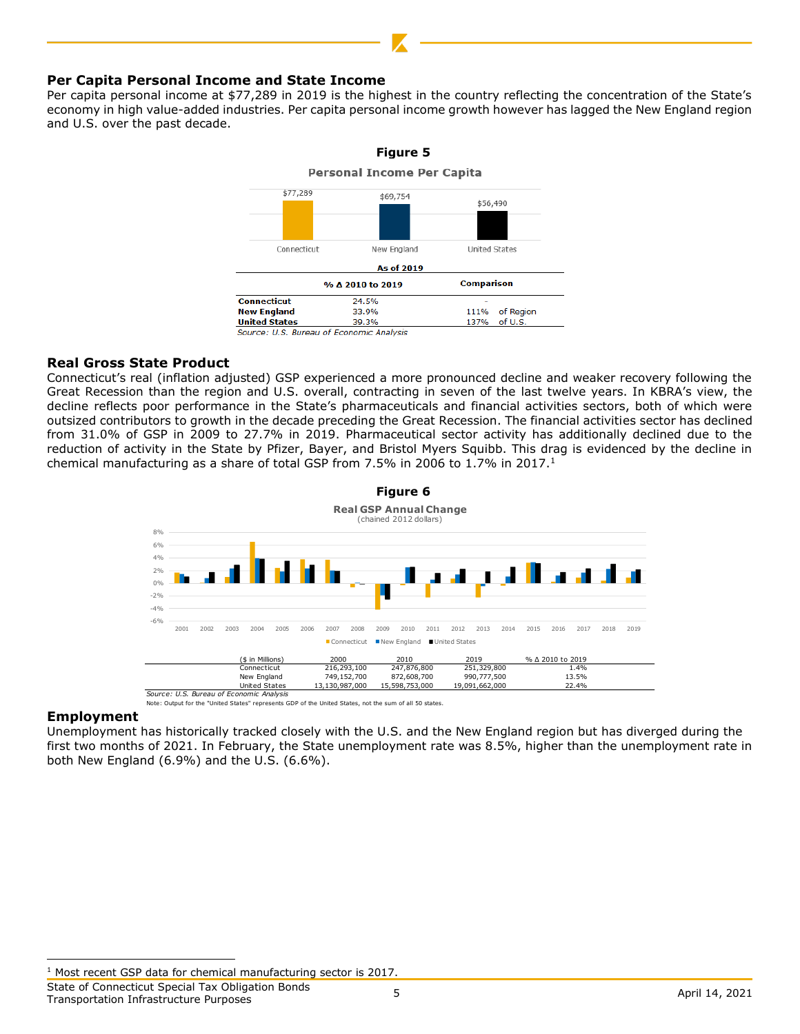#### **Per Capita Personal Income and State Income**

Per capita personal income at \$77,289 in 2019 is the highest in the country reflecting the concentration of the State's economy in high value-added industries. Per capita personal income growth however has lagged the New England region and U.S. over the past decade.



#### **Real Gross State Product**

Connecticut's real (inflation adjusted) GSP experienced a more pronounced decline and weaker recovery following the Great Recession than the region and U.S. overall, contracting in seven of the last twelve years. In KBRA's view, the decline reflects poor performance in the State's pharmaceuticals and financial activities sectors, both of which were outsized contributors to growth in the decade preceding the Great Recession. The financial activities sector has declined from 31.0% of GSP in 2009 to 27.7% in 2019. Pharmaceutical sector activity has additionally declined due to the reduction of activity in the State by Pfizer, Bayer, and Bristol Myers Squibb. This drag is evidenced by the decline in chemical manufacturing as a share of total GSP from 7.5% in 2006 to 1.7% in 2017.<sup>1</sup>



Note: Output for the "United States" represents GDP of the United States, not the sum of all 50 states.

#### **Employment**

Unemployment has historically tracked closely with the U.S. and the New England region but has diverged during the first two months of 2021. In February, the State unemployment rate was 8.5%, higher than the unemployment rate in both New England (6.9%) and the U.S. (6.6%).

State of Connecticut Special Tax Obligation Bonds State of Connecticut Special Tax Obligation Bonds<br>Transportation Infrastructure Purposes 6 April 14, 2021

<sup>&</sup>lt;sup>1</sup> Most recent GSP data for chemical manufacturing sector is 2017.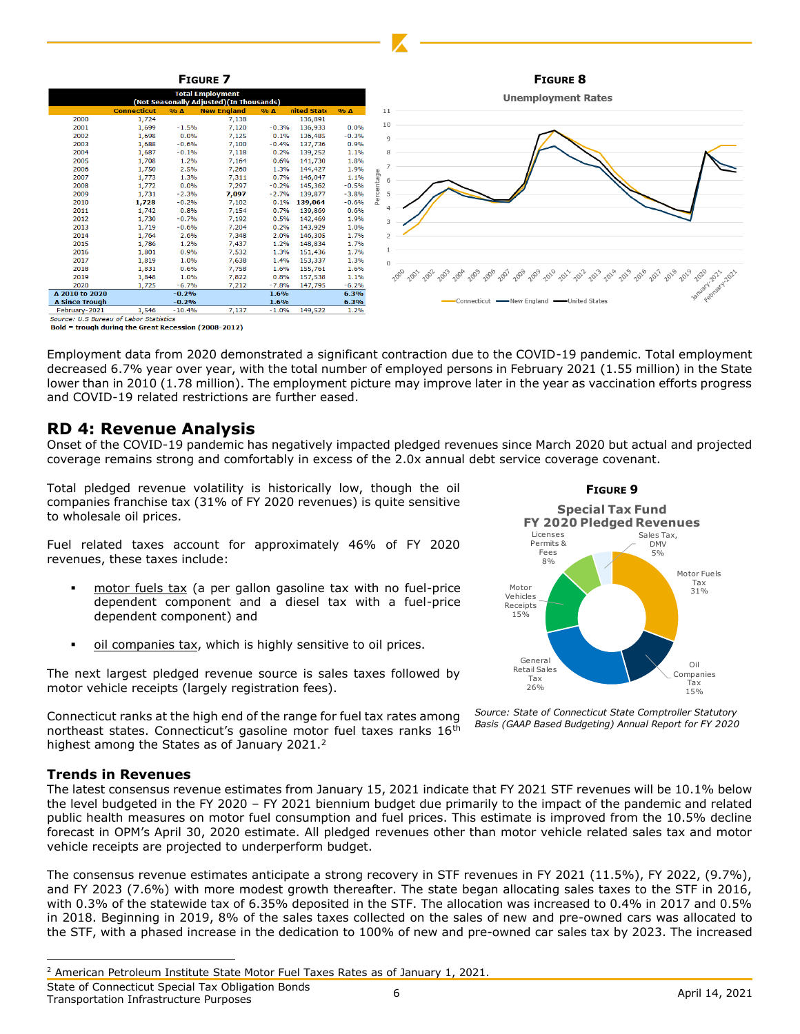

Bold = trough during the Great Recession (2008-2012)

Employment data from 2020 demonstrated a significant contraction due to the COVID-19 pandemic. Total employment decreased 6.7% year over year, with the total number of employed persons in February 2021 (1.55 million) in the State lower than in 2010 (1.78 million). The employment picture may improve later in the year as vaccination efforts progress and COVID-19 related restrictions are further eased.

# **RD 4: Revenue Analysis**

Onset of the COVID-19 pandemic has negatively impacted pledged revenues since March 2020 but actual and projected coverage remains strong and comfortably in excess of the 2.0x annual debt service coverage covenant.

Total pledged revenue volatility is historically low, though the oil companies franchise tax (31% of FY 2020 revenues) is quite sensitive to wholesale oil prices.

Fuel related taxes account for approximately 46% of FY 2020 revenues, these taxes include:

- motor fuels tax (a per gallon gasoline tax with no fuel-price dependent component and a diesel tax with a fuel-price dependent component) and
- oil companies tax, which is highly sensitive to oil prices.

The next largest pledged revenue source is sales taxes followed by motor vehicle receipts (largely registration fees).

Connecticut ranks at the high end of the range for fuel tax rates among northeast states. Connecticut's gasoline motor fuel taxes ranks 16<sup>th</sup> highest among the States as of January 2021.<sup>2</sup>

#### **Trends in Revenues**

The latest consensus revenue estimates from January 15, 2021 indicate that FY 2021 STF revenues will be 10.1% below the level budgeted in the FY 2020 – FY 2021 biennium budget due primarily to the impact of the pandemic and related public health measures on motor fuel consumption and fuel prices. This estimate is improved from the 10.5% decline forecast in OPM's April 30, 2020 estimate. All pledged revenues other than motor vehicle related sales tax and motor vehicle receipts are projected to underperform budget.

The consensus revenue estimates anticipate a strong recovery in STF revenues in FY 2021 (11.5%), FY 2022, (9.7%), and FY 2023 (7.6%) with more modest growth thereafter. The state began allocating sales taxes to the STF in 2016, with 0.3% of the statewide tax of 6.35% deposited in the STF. The allocation was increased to 0.4% in 2017 and 0.5% in 2018. Beginning in 2019, 8% of the sales taxes collected on the sales of new and pre-owned cars was allocated to the STF, with a phased increase in the dedication to 100% of new and pre-owned car sales tax by 2023. The increased

State of Connecticut Special Tax Obligation Bonds State of Connecticut Special Tax Obligation Bonus<br>Transportation Infrastructure Purposes 6 April 14, 2021



*Source: State of Connecticut State Comptroller Statutory Basis (GAAP Based Budgeting) Annual Report for FY 2020*

<sup>2</sup> American Petroleum Institute State Motor Fuel Taxes Rates as of January 1, 2021.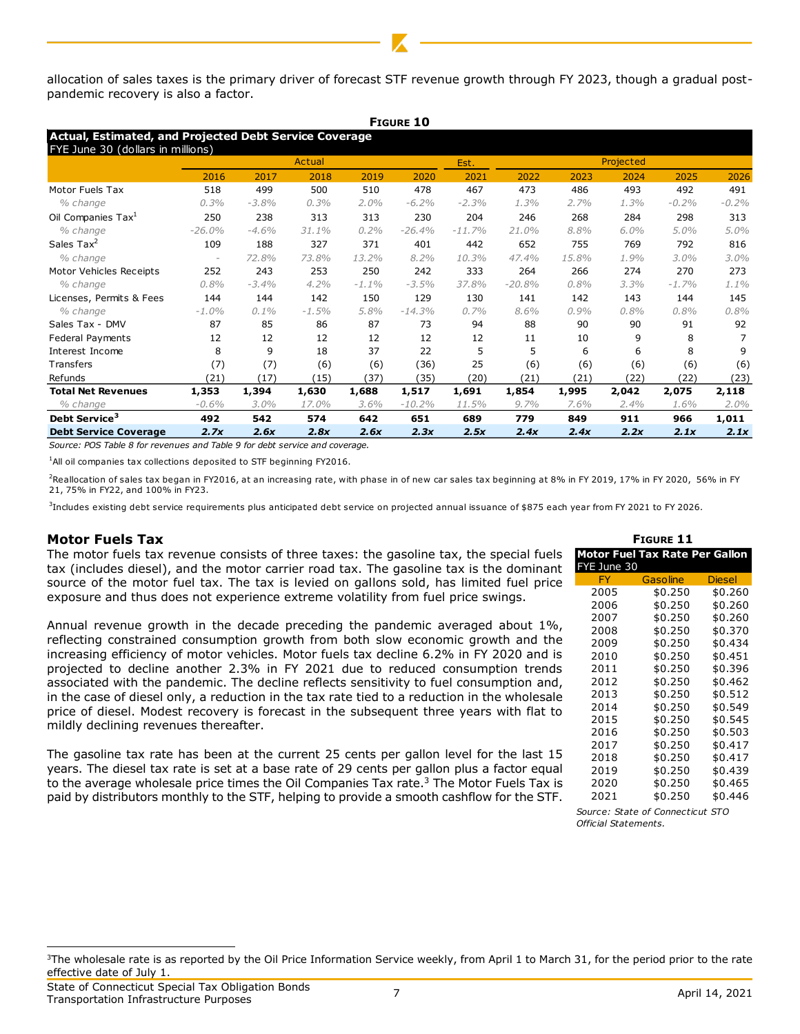allocation of sales taxes is the primary driver of forecast STF revenue growth through FY 2023, though a gradual postpandemic recovery is also a factor.

|                                                                                             |          |         |         |          | <b>FIGURE 10</b> |          |           |       |         |         |         |
|---------------------------------------------------------------------------------------------|----------|---------|---------|----------|------------------|----------|-----------|-------|---------|---------|---------|
| Actual, Estimated, and Projected Debt Service Coverage<br>FYE June 30 (dollars in millions) |          |         |         |          |                  |          |           |       |         |         |         |
|                                                                                             |          | Actual  |         |          |                  | Est.     | Projected |       |         |         |         |
|                                                                                             | 2016     | 2017    | 2018    | 2019     | 2020             | 2021     | 2022      | 2023  | 2024    | 2025    | 2026    |
| Motor Fuels Tax                                                                             | 518      | 499     | 500     | 510      | 478              | 467      | 473       | 486   | 493     | 492     | 491     |
| % change                                                                                    | 0.3%     | $-3.8%$ | 0.3%    | $2.0\%$  | $-6.2%$          | $-2.3%$  | 1.3%      | 2.7%  | 1.3%    | $-0.2%$ | $-0.2%$ |
| Oil Companies Tax <sup>1</sup>                                                              | 250      | 238     | 313     | 313      | 230              | 204      | 246       | 268   | 284     | 298     | 313     |
| % change                                                                                    | $-26.0%$ | $-4.6%$ | 31.1%   | 0.2%     | $-26.4%$         | $-11.7%$ | 21.0%     | 8.8%  | $6.0\%$ | 5.0%    | 5.0%    |
| Sales Tax <sup>2</sup>                                                                      | 109      | 188     | 327     | 371      | 401              | 442      | 652       | 755   | 769     | 792     | 816     |
| % change                                                                                    |          | 72.8%   | 73.8%   | 13.2%    | 8.2%             | 10.3%    | 47.4%     | 15.8% | 1.9%    | 3.0%    | 3.0%    |
| Motor Vehicles Receipts                                                                     | 252      | 243     | 253     | 250      | 242              | 333      | 264       | 266   | 274     | 270     | 273     |
| % change                                                                                    | 0.8%     | $-3.4%$ | 4.2%    | $-1.1\%$ | $-3.5%$          | 37.8%    | $-20.8%$  | 0.8%  | 3.3%    | $-1.7%$ | 1.1%    |
| Licenses, Permits & Fees                                                                    | 144      | 144     | 142     | 150      | 129              | 130      | 141       | 142   | 143     | 144     | 145     |
| % change                                                                                    | $-1.0%$  | $0.1\%$ | $-1.5%$ | 5.8%     | $-14.3%$         | 0.7%     | 8.6%      | 0.9%  | 0.8%    | 0.8%    | 0.8%    |
| Sales Tax - DMV                                                                             | 87       | 85      | 86      | 87       | 73               | 94       | 88        | 90    | 90      | 91      | 92      |
| Federal Payments                                                                            | 12       | 12      | 12      | 12       | 12               | 12       | 11        | 10    | 9       | 8       |         |
| Interest Income                                                                             | 8        | 9       | 18      | 37       | 22               | 5        | 5         | 6     | 6       | 8       | q       |
| Transfers                                                                                   | (7)      | (7)     | (6)     | (6)      | (36)             | 25       | (6)       | (6)   | (6)     | (6)     | (6)     |
| Refunds                                                                                     | (21)     | (17)    | (15)    | (37)     | (35)             | (20)     | (21)      | (21)  | (22)    | (22)    | (23)    |
| <b>Total Net Revenues</b>                                                                   | 1,353    | 1,394   | 1,630   | 1,688    | 1,517            | 1,691    | 1,854     | 1,995 | 2,042   | 2,075   | 2,118   |
| % change                                                                                    | $-0.6%$  | 3.0%    | 17.0%   | 3.6%     | $-10.2%$         | 11.5%    | 9.7%      | 7.6%  | 2.4%    | 1.6%    | 2.0%    |
| Debt Service <sup>3</sup>                                                                   | 492      | 542     | 574     | 642      | 651              | 689      | 779       | 849   | 911     | 966     | 1,011   |
| <b>Debt Service Coverage</b>                                                                | 2.7x     | 2.6x    | 2.8x    | 2.6x     | 2.3x             | 2.5x     | 2.4x      | 2.4x  | 2.2x    | 2.1x    | 2.1x    |

*Source: POS Table 8 for revenues and Table 9 for debt service and coverage.*

<sup>1</sup>All oil companies tax collections deposited to STF beginning FY2016.

<sup>2</sup>Reallocation of sales tax began in FY2016, at an increasing rate, with phase in of new car sales tax beginning at 8% in FY 2019, 17% in FY 2020, 56% in FY 21, 75% in FY22, and 100% in FY23.

3 Includes existing debt service requirements plus anticipated debt service on projected annual issuance of \$875 each year from FY 2021 to FY 2026.

#### **Motor Fuels Tax**

The motor fuels tax revenue consists of three taxes: the gasoline tax, the special fuels tax (includes diesel), and the motor carrier road tax. The gasoline tax is the dominant source of the motor fuel tax. The tax is levied on gallons sold, has limited fuel price exposure and thus does not experience extreme volatility from fuel price swings.

Annual revenue growth in the decade preceding the pandemic averaged about 1%, reflecting constrained consumption growth from both slow economic growth and the increasing efficiency of motor vehicles. Motor fuels tax decline 6.2% in FY 2020 and is projected to decline another 2.3% in FY 2021 due to reduced consumption trends associated with the pandemic. The decline reflects sensitivity to fuel consumption and, in the case of diesel only, a reduction in the tax rate tied to a reduction in the wholesale price of diesel. Modest recovery is forecast in the subsequent three years with flat to mildly declining revenues thereafter.

The gasoline tax rate has been at the current 25 cents per gallon level for the last 15 years. The diesel tax rate is set at a base rate of 29 cents per gallon plus a factor equal to the average wholesale price times the Oil Companies Tax rate.<sup>3</sup> The Motor Fuels Tax is paid by distributors monthly to the STF, helping to provide a smooth cashflow for the STF.

| <b>FIGURE 11</b> |                                |               |  |  |  |  |  |  |
|------------------|--------------------------------|---------------|--|--|--|--|--|--|
| FYE June 30      | Motor Fuel Tax Rate Per Gallon |               |  |  |  |  |  |  |
| FY               | <b>Gasoline</b>                | <b>Diesel</b> |  |  |  |  |  |  |
| 2005             | \$0.250                        | \$0.260       |  |  |  |  |  |  |
| 2006             | \$0.250                        | \$0.260       |  |  |  |  |  |  |
| 2007             | \$0.250                        | \$0.260       |  |  |  |  |  |  |
| 2008             | \$0.250                        | \$0.370       |  |  |  |  |  |  |
| 2009             | \$0.250                        | \$0.434       |  |  |  |  |  |  |
| 2010             | \$0.250                        | \$0.451       |  |  |  |  |  |  |
| 2011             | \$0.250                        | \$0.396       |  |  |  |  |  |  |
| 2012             | \$0.250                        | \$0.462       |  |  |  |  |  |  |
| 2013             | \$0.250                        | \$0.512       |  |  |  |  |  |  |
| 2014             | \$0.250                        | \$0.549       |  |  |  |  |  |  |
| 2015             | \$0.250                        | \$0.545       |  |  |  |  |  |  |
| 2016             | \$0.250                        | \$0.503       |  |  |  |  |  |  |
| 2017             | \$0.250                        | \$0.417       |  |  |  |  |  |  |
| 2018             | \$0.250                        | \$0.417       |  |  |  |  |  |  |
| 2019             | \$0.250                        | \$0.439       |  |  |  |  |  |  |
| 2020             | \$0.250                        | \$0.465       |  |  |  |  |  |  |
| 2021             | \$0.250                        | \$0.446       |  |  |  |  |  |  |

*Source: State of Connecticut STO Official Statements.*

<sup>&</sup>lt;sup>3</sup>The wholesale rate is as reported by the Oil Price Information Service weekly, from April 1 to March 31, for the period prior to the rate effective date of July 1.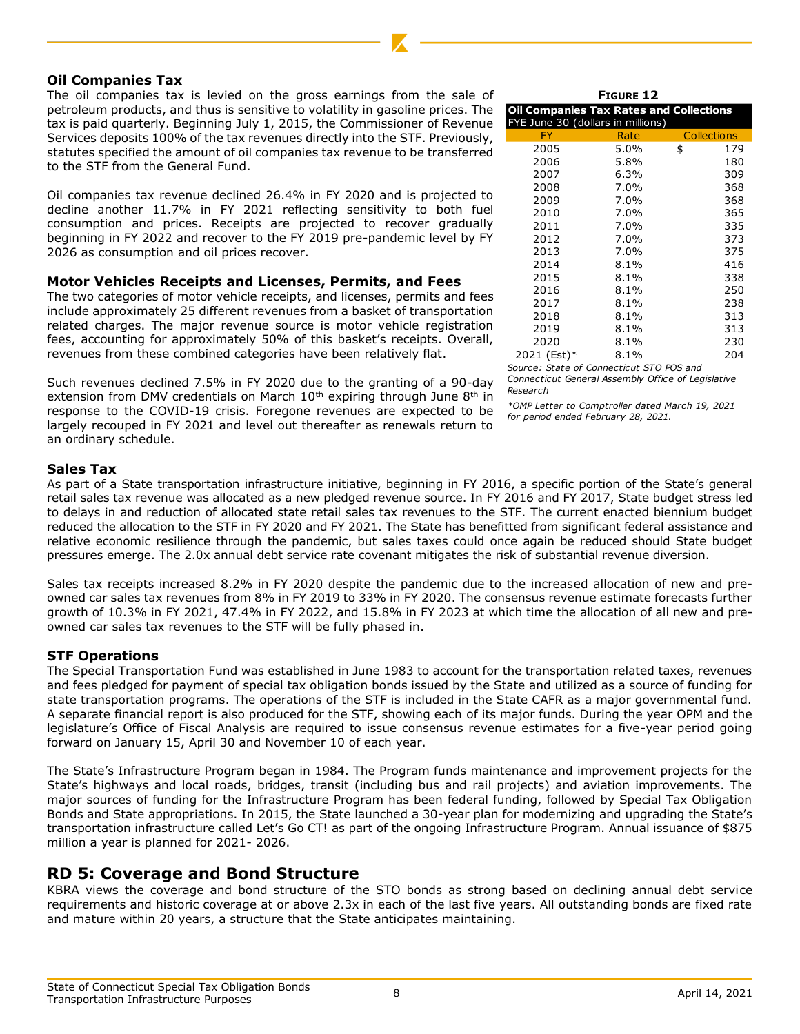### **Oil Companies Tax**

The oil companies tax is levied on the gross earnings from the sale of petroleum products, and thus is sensitive to volatility in gasoline prices. The tax is paid quarterly. Beginning July 1, 2015, the Commissioner of Revenue Services deposits 100% of the tax revenues directly into the STF. Previously, statutes specified the amount of oil companies tax revenue to be transferred to the STF from the General Fund.

Oil companies tax revenue declined 26.4% in FY 2020 and is projected to decline another 11.7% in FY 2021 reflecting sensitivity to both fuel consumption and prices. Receipts are projected to recover gradually beginning in FY 2022 and recover to the FY 2019 pre-pandemic level by FY 2026 as consumption and oil prices recover.

#### **Motor Vehicles Receipts and Licenses, Permits, and Fees**

The two categories of motor vehicle receipts, and licenses, permits and fees include approximately 25 different revenues from a basket of transportation related charges. The major revenue source is motor vehicle registration fees, accounting for approximately 50% of this basket's receipts. Overall, revenues from these combined categories have been relatively flat.

Such revenues declined 7.5% in FY 2020 due to the granting of a 90-day extension from DMV credentials on March  $10<sup>th</sup>$  expiring through June  $8<sup>th</sup>$  in response to the COVID-19 crisis. Foregone revenues are expected to be largely recouped in FY 2021 and level out thereafter as renewals return to an ordinary schedule.

#### **FIGURE 12**

| <b>Oil Companies Tax Rates and Collections</b> |      |    |                    |  |  |  |  |  |
|------------------------------------------------|------|----|--------------------|--|--|--|--|--|
| FYE June 30 (dollars in millions)              |      |    |                    |  |  |  |  |  |
| FY                                             | Rate |    | <b>Collections</b> |  |  |  |  |  |
| 2005                                           | 5.0% | \$ | 179                |  |  |  |  |  |
| 2006                                           | 5.8% |    | 180                |  |  |  |  |  |
| 2007                                           | 6.3% |    | 309                |  |  |  |  |  |
| 2008                                           | 7.0% |    | 368                |  |  |  |  |  |
| 2009                                           | 7.0% |    | 368                |  |  |  |  |  |
| 2010                                           | 7.0% |    | 365                |  |  |  |  |  |
| 2011                                           | 7.0% |    | 335                |  |  |  |  |  |
| 2012                                           | 7.0% |    | 373                |  |  |  |  |  |
| 2013                                           | 7.0% |    | 375                |  |  |  |  |  |
| 2014                                           | 8.1% |    | 416                |  |  |  |  |  |
| 2015                                           | 8.1% |    | 338                |  |  |  |  |  |
| 2016                                           | 8.1% |    | 250                |  |  |  |  |  |
| 2017                                           | 8.1% |    | 238                |  |  |  |  |  |
| 2018                                           | 8.1% |    | 313                |  |  |  |  |  |
| 2019                                           | 8.1% |    | 313                |  |  |  |  |  |
| 2020                                           | 8.1% |    | 230                |  |  |  |  |  |
| 2021 (Est)*                                    | 8.1% |    | 204                |  |  |  |  |  |

*Source: State of Connecticut STO POS and Connecticut General Assembly Office of Legislative Research* 

*\*OMP Letter to Comptroller dated March 19, 2021 for period ended February 28, 2021.*

### **Sales Tax**

As part of a State transportation infrastructure initiative, beginning in FY 2016, a specific portion of the State's general retail sales tax revenue was allocated as a new pledged revenue source. In FY 2016 and FY 2017, State budget stress led to delays in and reduction of allocated state retail sales tax revenues to the STF. The current enacted biennium budget reduced the allocation to the STF in FY 2020 and FY 2021. The State has benefitted from significant federal assistance and relative economic resilience through the pandemic, but sales taxes could once again be reduced should State budget pressures emerge. The 2.0x annual debt service rate covenant mitigates the risk of substantial revenue diversion.

Sales tax receipts increased 8.2% in FY 2020 despite the pandemic due to the increased allocation of new and preowned car sales tax revenues from 8% in FY 2019 to 33% in FY 2020. The consensus revenue estimate forecasts further growth of 10.3% in FY 2021, 47.4% in FY 2022, and 15.8% in FY 2023 at which time the allocation of all new and preowned car sales tax revenues to the STF will be fully phased in.

#### **STF Operations**

The Special Transportation Fund was established in June 1983 to account for the transportation related taxes, revenues and fees pledged for payment of special tax obligation bonds issued by the State and utilized as a source of funding for state transportation programs. The operations of the STF is included in the State CAFR as a major governmental fund. A separate financial report is also produced for the STF, showing each of its major funds. During the year OPM and the legislature's Office of Fiscal Analysis are required to issue consensus revenue estimates for a five-year period going forward on January 15, April 30 and November 10 of each year.

The State's Infrastructure Program began in 1984. The Program funds maintenance and improvement projects for the State's highways and local roads, bridges, transit (including bus and rail projects) and aviation improvements. The major sources of funding for the Infrastructure Program has been federal funding, followed by Special Tax Obligation Bonds and State appropriations. In 2015, the State launched a 30-year plan for modernizing and upgrading the State's transportation infrastructure called Let's Go CT! as part of the ongoing Infrastructure Program. Annual issuance of \$875 million a year is planned for 2021- 2026.

# **RD 5: Coverage and Bond Structure**

KBRA views the coverage and bond structure of the STO bonds as strong based on declining annual debt service requirements and historic coverage at or above 2.3x in each of the last five years. All outstanding bonds are fixed rate and mature within 20 years, a structure that the State anticipates maintaining.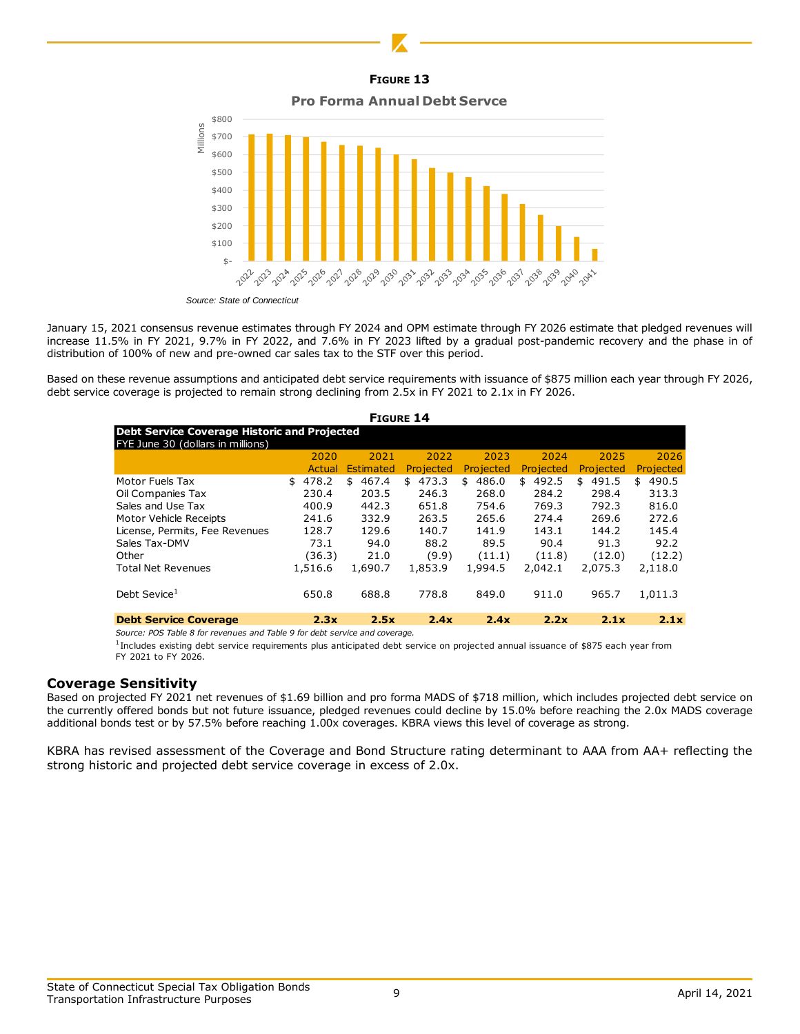**FIGURE 13**

**Pro Forma Annual Debt Servce**



*Source: State of Connecticut*

January 15, 2021 consensus revenue estimates through FY 2024 and OPM estimate through FY 2026 estimate that pledged revenues will increase 11.5% in FY 2021, 9.7% in FY 2022, and 7.6% in FY 2023 lifted by a gradual post-pandemic recovery and the phase in of distribution of 100% of new and pre-owned car sales tax to the STF over this period.

Based on these revenue assumptions and anticipated debt service requirements with issuance of \$875 million each year through FY 2026, debt service coverage is projected to remain strong declining from 2.5x in FY 2021 to 2.1x in FY 2026.

| <b>FIGURE 14</b>                                    |             |                  |             |             |             |             |             |
|-----------------------------------------------------|-------------|------------------|-------------|-------------|-------------|-------------|-------------|
| <b>Debt Service Coverage Historic and Projected</b> |             |                  |             |             |             |             |             |
| FYE June 30 (dollars in millions)                   |             |                  |             |             |             |             |             |
|                                                     | 2020        | 2021             | 2022        | 2023        | 2024        | 2025        | 2026        |
|                                                     | Actual      | <b>Estimated</b> | Projected   | Projected   | Projected   | Projected   | Projected   |
| Motor Fuels Tax                                     | 478.2<br>\$ | 467.4<br>\$      | 473.3<br>\$ | 486.0<br>\$ | 492.5<br>\$ | 491.5<br>\$ | 490.5<br>\$ |
| Oil Companies Tax                                   | 230.4       | 203.5            | 246.3       | 268.0       | 284.2       | 298.4       | 313.3       |
| Sales and Use Tax                                   | 400.9       | 442.3            | 651.8       | 754.6       | 769.3       | 792.3       | 816.0       |
| Motor Vehicle Receipts                              | 241.6       | 332.9            | 263.5       | 265.6       | 274.4       | 269.6       | 272.6       |
| License, Permits, Fee Revenues                      | 128.7       | 129.6            | 140.7       | 141.9       | 143.1       | 144.2       | 145.4       |
| Sales Tax-DMV                                       | 73.1        | 94.0             | 88.2        | 89.5        | 90.4        | 91.3        | 92.2        |
| Other                                               | (36.3)      | 21.0             | (9.9)       | (11.1)      | (11.8)      | (12.0)      | (12.2)      |
| <b>Total Net Revenues</b>                           | 1,516.6     | 1,690.7          | 1,853.9     | 1.994.5     | 2,042.1     | 2,075.3     | 2,118.0     |
| Debt Sevice <sup>1</sup>                            | 650.8       | 688.8            | 778.8       | 849.0       | 911.0       | 965.7       | 1,011.3     |
| <b>Debt Service Coverage</b>                        | 2.3x        | 2.5x             | 2.4x        | 2.4x        | 2.2x        | 2.1x        | 2.1x        |

*Source: POS Table 8 for revenues and Table 9 for debt service and coverage.*

1 Includes existing debt service requirements plus anticipated debt service on projected annual issuance of \$875 each year from FY 2021 to FY 2026.

#### **Coverage Sensitivity**

Based on projected FY 2021 net revenues of \$1.69 billion and pro forma MADS of \$718 million, which includes projected debt service on the currently offered bonds but not future issuance, pledged revenues could decline by 15.0% before reaching the 2.0x MADS coverage additional bonds test or by 57.5% before reaching 1.00x coverages. KBRA views this level of coverage as strong.

KBRA has revised assessment of the Coverage and Bond Structure rating determinant to AAA from AA+ reflecting the strong historic and projected debt service coverage in excess of 2.0x.